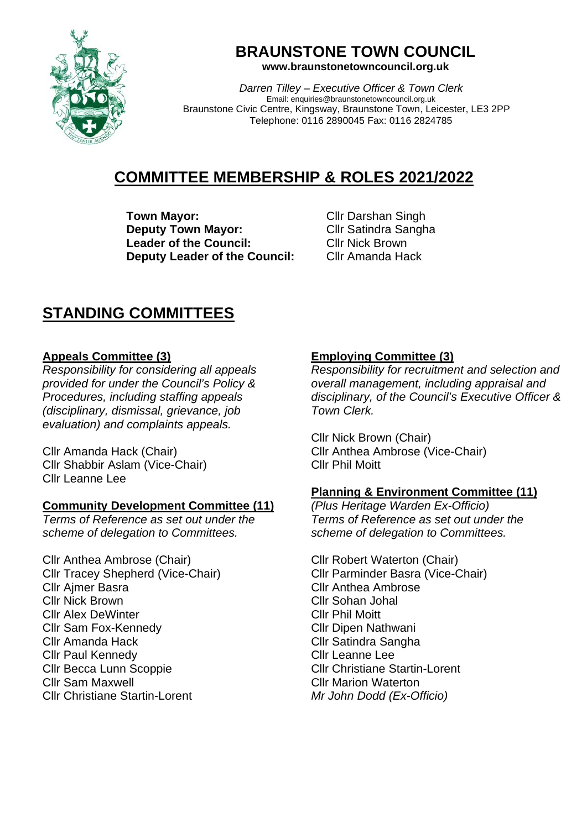

# **BRAUNSTONE TOWN COUNCIL**

**www.braunstonetowncouncil.org.uk**

*Darren Tilley – Executive Officer & Town Clerk* Email: enquiries@braunstonetowncouncil.org.uk Braunstone Civic Centre, Kingsway, Braunstone Town, Leicester, LE3 2PP Telephone: 0116 2890045 Fax: 0116 2824785

## **COMMITTEE MEMBERSHIP & ROLES 2021/2022**

**Town Mayor:** Cllr Darshan Singh **Deputy Town Mayor:** Cllr Satindra Sangha **Leader of the Council:** Cllr Nick Brown<br> **Deputy Leader of the Council:** Cllr Amanda Hack **Deputy Leader of the Council:** 

### **STANDING COMMITTEES**

#### **Appeals Committee (3)**

*Responsibility for considering all appeals provided for under the Council's Policy & Procedures, including staffing appeals (disciplinary, dismissal, grievance, job evaluation) and complaints appeals.*

Cllr Amanda Hack (Chair) Cllr Shabbir Aslam (Vice-Chair) Cllr Leanne Lee

#### **Community Development Committee (11)**

*Terms of Reference as set out under the scheme of delegation to Committees.*

Cllr Anthea Ambrose (Chair) Cllr Tracey Shepherd (Vice-Chair) Cllr Ajmer Basra Cllr Nick Brown Cllr Alex DeWinter Cllr Sam Fox-Kennedy Cllr Amanda Hack Cllr Paul Kennedy Cllr Becca Lunn Scoppie Cllr Sam Maxwell Cllr Christiane Startin-Lorent

### **Employing Committee (3)**

*Responsibility for recruitment and selection and overall management, including appraisal and disciplinary, of the Council's Executive Officer & Town Clerk.* 

Cllr Nick Brown (Chair) Cllr Anthea Ambrose (Vice-Chair) Cllr Phil Moitt

### **Planning & Environment Committee (11)**

*(Plus Heritage Warden Ex-Officio) Terms of Reference as set out under the scheme of delegation to Committees.*

Cllr Robert Waterton (Chair) Cllr Parminder Basra (Vice-Chair) Cllr Anthea Ambrose Cllr Sohan Johal Cllr Phil Moitt Cllr Dipen Nathwani Cllr Satindra Sangha Cllr Leanne Lee Cllr Christiane Startin-Lorent Cllr Marion Waterton *Mr John Dodd (Ex-Officio)*